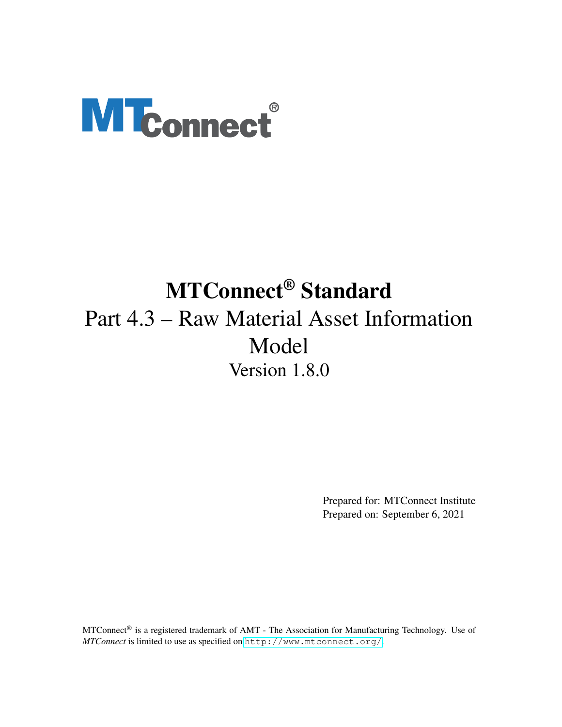# **MTconnect®**

## MTConnect® Standard Part 4.3 – Raw Material Asset Information Model Version 1.8.0

Prepared for: MTConnect Institute Prepared on: September 6, 2021

MTConnect® is a registered trademark of AMT - The Association for Manufacturing Technology. Use of *MTConnect* is limited to use as specified on <http://www.mtconnect.org/>.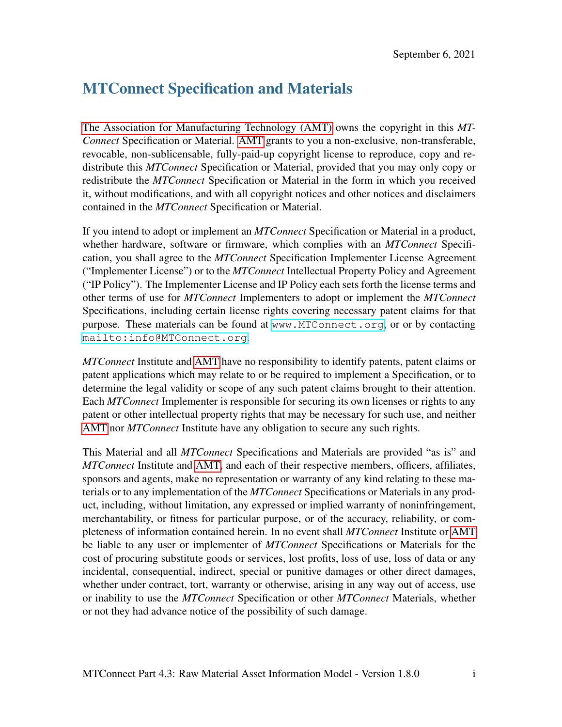## MTConnect Specification and Materials

[The Association for Manufacturing Technology \(AMT\)](#page-11-0) owns the copyright in this *MT-Connect* Specification or Material. [AMT](#page-11-0) grants to you a non-exclusive, non-transferable, revocable, non-sublicensable, fully-paid-up copyright license to reproduce, copy and redistribute this *MTConnect* Specification or Material, provided that you may only copy or redistribute the *MTConnect* Specification or Material in the form in which you received it, without modifications, and with all copyright notices and other notices and disclaimers contained in the *MTConnect* Specification or Material.

If you intend to adopt or implement an *MTConnect* Specification or Material in a product, whether hardware, software or firmware, which complies with an *MTConnect* Specification, you shall agree to the *MTConnect* Specification Implementer License Agreement ("Implementer License") or to the *MTConnect* Intellectual Property Policy and Agreement ("IP Policy"). The Implementer License and IP Policy each sets forth the license terms and other terms of use for *MTConnect* Implementers to adopt or implement the *MTConnect* Specifications, including certain license rights covering necessary patent claims for that purpose. These materials can be found at <www.MTConnect.org>, or or by contacting <mailto:info@MTConnect.org>.

*MTConnect* Institute and [AMT](#page-11-0) have no responsibility to identify patents, patent claims or patent applications which may relate to or be required to implement a Specification, or to determine the legal validity or scope of any such patent claims brought to their attention. Each *MTConnect* Implementer is responsible for securing its own licenses or rights to any patent or other intellectual property rights that may be necessary for such use, and neither [AMT](#page-11-0) nor *MTConnect* Institute have any obligation to secure any such rights.

This Material and all *MTConnect* Specifications and Materials are provided "as is" and *MTConnect* Institute and [AMT,](#page-11-0) and each of their respective members, officers, affiliates, sponsors and agents, make no representation or warranty of any kind relating to these materials or to any implementation of the *MTConnect* Specifications or Materials in any product, including, without limitation, any expressed or implied warranty of noninfringement, merchantability, or fitness for particular purpose, or of the accuracy, reliability, or completeness of information contained herein. In no event shall *MTConnect* Institute or [AMT](#page-11-0) be liable to any user or implementer of *MTConnect* Specifications or Materials for the cost of procuring substitute goods or services, lost profits, loss of use, loss of data or any incidental, consequential, indirect, special or punitive damages or other direct damages, whether under contract, tort, warranty or otherwise, arising in any way out of access, use or inability to use the *MTConnect* Specification or other *MTConnect* Materials, whether or not they had advance notice of the possibility of such damage.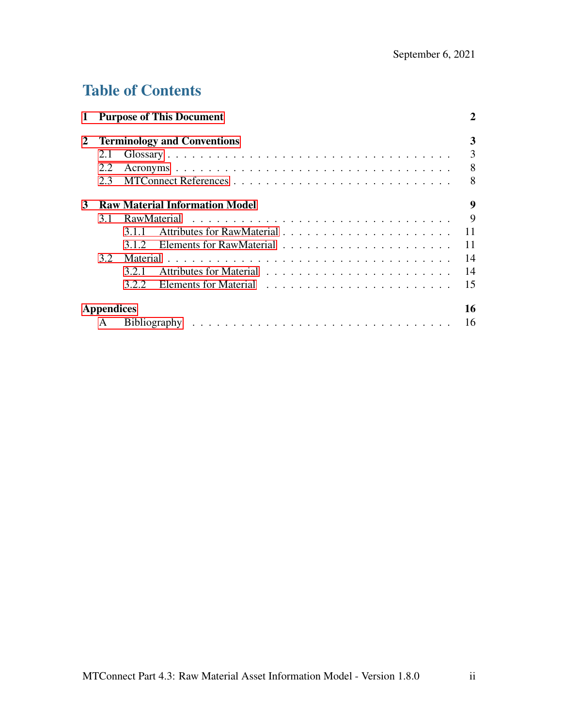## Table of Contents

| $\mathbf{1}$ |                   | <b>Purpose of This Document</b>       |  | 2   |
|--------------|-------------------|---------------------------------------|--|-----|
| 2            |                   | <b>Terminology and Conventions</b>    |  | 3   |
|              | 2.1               |                                       |  | 3   |
|              | 2.2               |                                       |  | 8   |
|              | 2.3               |                                       |  | 8   |
| 3            |                   | <b>Raw Material Information Model</b> |  | 9   |
|              | 3.1               |                                       |  | 9   |
|              |                   | 3.1.1                                 |  | 11  |
|              |                   | 3.1.2                                 |  | -11 |
|              | $3.2^{\circ}$     |                                       |  | 14  |
|              |                   | 3.2.1                                 |  | 14  |
|              |                   | 3.2.2                                 |  | 15  |
|              | <b>Appendices</b> |                                       |  | 16  |
|              |                   |                                       |  | 16  |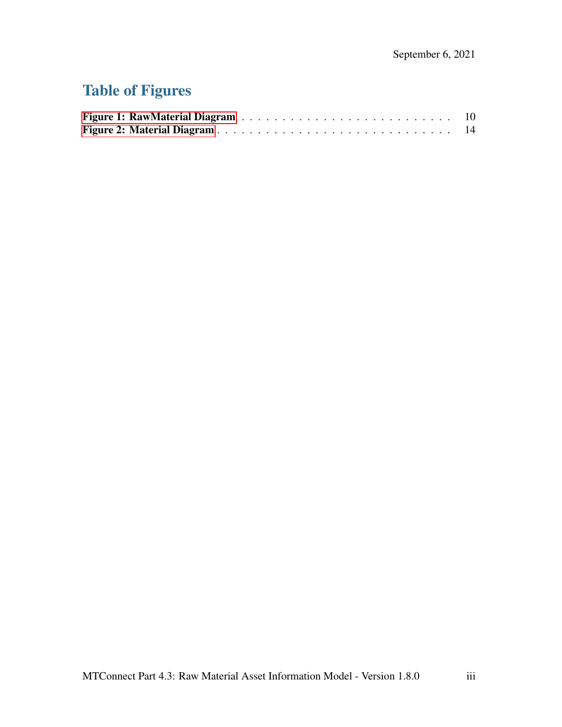## Table of Figures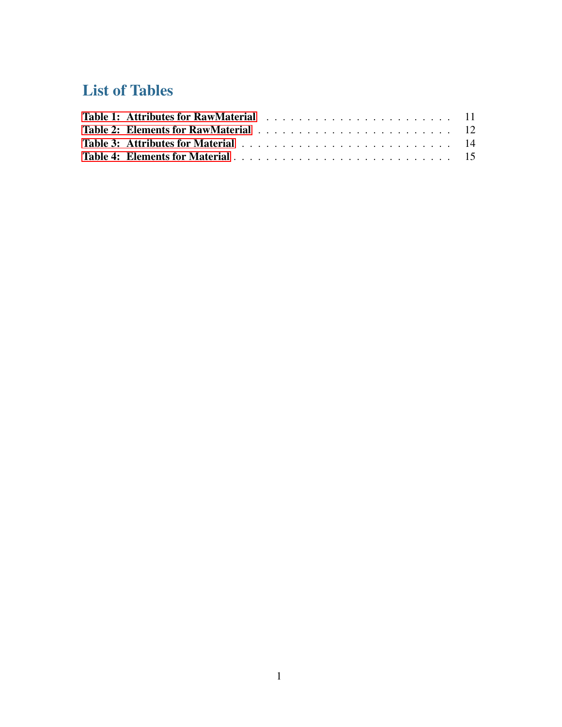## List of Tables

<span id="page-4-0"></span>

| Table 3: Attributes for Material enterpresent resources in the set of the 14 |  |
|------------------------------------------------------------------------------|--|
|                                                                              |  |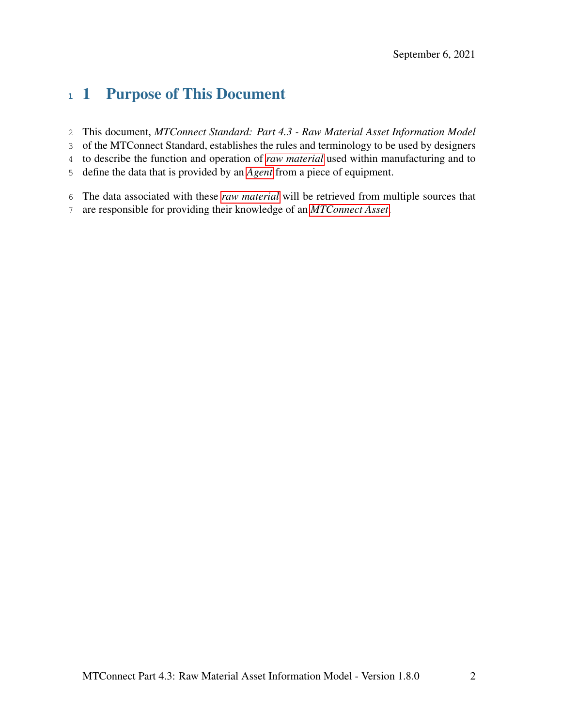## 1 Purpose of This Document

- This document, *MTConnect Standard: Part 4.3 Raw Material Asset Information Model*
- of the MTConnect Standard, establishes the rules and terminology to be used by designers
- to describe the function and operation of *[raw material](#page-9-0)* used within manufacturing and to
- define the data that is provided by an *[Agent](#page-6-1)* from a piece of equipment.
- The data associated with these *[raw material](#page-9-0)* will be retrieved from multiple sources that
- <span id="page-5-0"></span>are responsible for providing their knowledge of an *[MTConnect Asset](#page-8-0)*.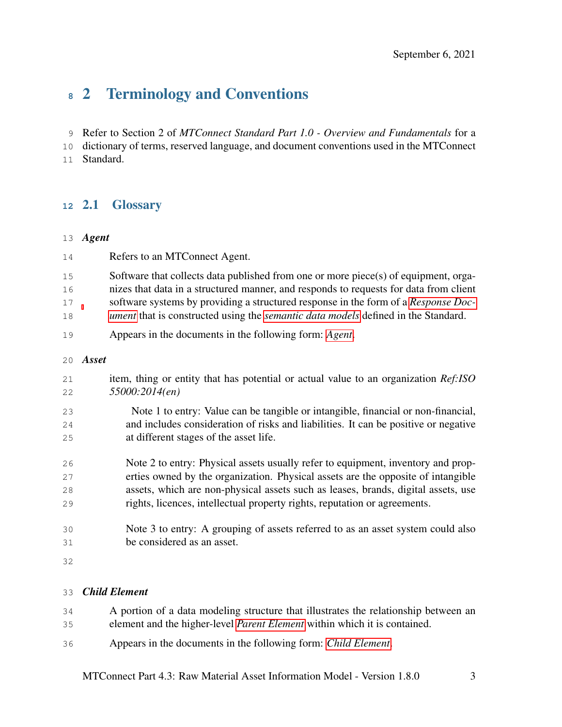## 2 Terminology and Conventions

Refer to Section 2 of *MTConnect Standard Part 1.0 - Overview and Fundamentals* for a

dictionary of terms, reserved language, and document conventions used in the MTConnect

<span id="page-6-0"></span>Standard.

#### 2.1 Glossary

#### <span id="page-6-1"></span>*Agent*

<span id="page-6-3"></span>

| 14 | Refers to an MTConnect Agent.                                                            |
|----|------------------------------------------------------------------------------------------|
| 15 | Software that collects data published from one or more piece(s) of equipment, orga-      |
| 16 | nizes that data in a structured manner, and responds to requests for data from client    |
| 17 | software systems by providing a structured response in the form of a Response Doc-       |
| 18 | ument that is constructed using the <i>semantic data models</i> defined in the Standard. |
| 19 | Appears in the documents in the following form: Agent.                                   |
| 20 | Asset                                                                                    |
| 21 | item, thing or entity that has potential or actual value to an organization Ref:ISO      |
| 22 | 55000:2014(en)                                                                           |
| 23 | Note 1 to entry: Value can be tangible or intangible, financial or non-financial,        |
| 24 | and includes consideration of risks and liabilities. It can be positive or negative      |
| 25 | at different stages of the asset life.                                                   |
| 26 | Note 2 to entry: Physical assets usually refer to equipment, inventory and prop-         |
| 27 | erties owned by the organization. Physical assets are the opposite of intangible         |
| 28 | assets, which are non-physical assets such as leases, brands, digital assets, use        |
| 29 | rights, licences, intellectual property rights, reputation or agreements.                |
| 30 | Note 3 to entry: A grouping of assets referred to as an asset system could also          |
| 31 | be considered as an asset.                                                               |
| 32 |                                                                                          |
|    |                                                                                          |
|    |                                                                                          |

#### <span id="page-6-2"></span>*Child Element*

- A portion of a data modeling structure that illustrates the relationship between an element and the higher-level *[Parent Element](#page-9-1)* within which it is contained.
- Appears in the documents in the following form: *[Child Element](#page-6-2)*.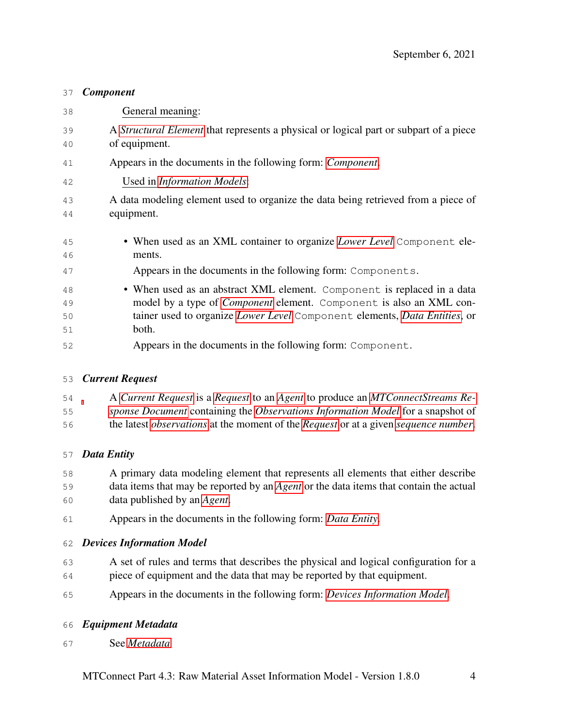#### <span id="page-7-0"></span>*Component*

| 38 | General meaning:                                                                             |
|----|----------------------------------------------------------------------------------------------|
| 39 | A <i>Structural Element</i> that represents a physical or logical part or subpart of a piece |
| 40 | of equipment.                                                                                |
| 41 | Appears in the documents in the following form: <i>Component</i> .                           |
| 42 | Used in <i>Information Models</i> :                                                          |
| 43 | A data modeling element used to organize the data being retrieved from a piece of            |
| 44 | equipment.                                                                                   |
|    |                                                                                              |
| 45 | • When used as an XML container to organize Lower Level Component ele-                       |
| 46 | ments.                                                                                       |
| 47 | Appears in the documents in the following form: Components.                                  |
| 48 | • When used as an abstract XML element. Component is replaced in a data                      |
| 49 | model by a type of <i>Component</i> element. Component is also an XML con-                   |
| 50 | tainer used to organize Lower Level Component elements, Data Entities, or                    |
| 51 | both.                                                                                        |
| 52 | Appears in the documents in the following form: Component.                                   |

#### <span id="page-7-2"></span>*Current Request*

 A *[Current Request](#page-7-2)* is a *[Request](#page-9-2)* to an *[Agent](#page-6-1)* to produce an *[MTConnectStreams Re-](#page-9-3)[sponse Document](#page-9-3)* containing the *[Observations Information Model](#page-9-4)* for a snapshot of

the latest *[observations](#page-9-5)* at the moment of the *[Request](#page-9-2)* or at a given *[sequence number](#page-10-3)*.

#### <span id="page-7-1"></span>*Data Entity*

 A primary data modeling element that represents all elements that either describe data items that may be reported by an *[Agent](#page-6-1)* or the data items that contain the actual data published by an *[Agent](#page-6-1)*.

Appears in the documents in the following form: *[Data Entity](#page-7-1)*.

#### <span id="page-7-3"></span>*Devices Information Model*

- A set of rules and terms that describes the physical and logical configuration for a piece of equipment and the data that may be reported by that equipment.
- Appears in the documents in the following form: *[Devices Information Model](#page-7-3)*.

#### <span id="page-7-4"></span>*Equipment Metadata*

See *[Metadata](#page-8-3)*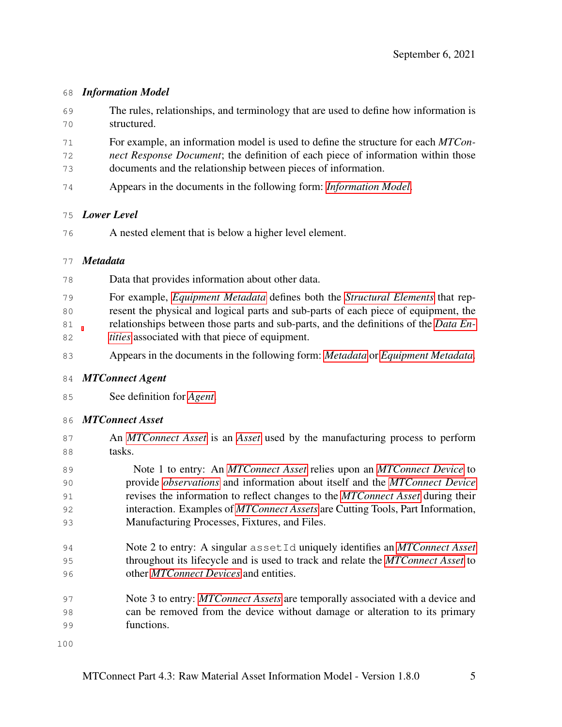#### <span id="page-8-1"></span>*Information Model*

- The rules, relationships, and terminology that are used to define how information is structured.
- For example, an information model is used to define the structure for each *MTCon-*
- *nect Response Document*; the definition of each piece of information within those
- documents and the relationship between pieces of information.
- Appears in the documents in the following form: *[Information Model](#page-8-1)*.

#### <span id="page-8-2"></span>*Lower Level*

A nested element that is below a higher level element.

#### <span id="page-8-3"></span>*Metadata*

- Data that provides information about other data.
- For example, *[Equipment Metadata](#page-7-4)* defines both the *[Structural Elements](#page-10-2)* that rep-
- resent the physical and logical parts and sub-parts of each piece of equipment, the
- relationships between those parts and sub-parts, and the definitions of the *[Data En-](#page-7-1)[tities](#page-7-1)* associated with that piece of equipment.
- Appears in the documents in the following form: *[Metadata](#page-8-3)* or *[Equipment Metadata](#page-7-4)*.

#### <span id="page-8-4"></span>*MTConnect Agent*

See definition for *[Agent](#page-6-1)*.

#### <span id="page-8-0"></span>*MTConnect Asset*

- An *[MTConnect Asset](#page-8-0)* is an *[Asset](#page-6-3)* used by the manufacturing process to perform tasks.
- Note 1 to entry: An *[MTConnect Asset](#page-8-0)* relies upon an *[MTConnect Device](#page-9-6)* to provide *[observations](#page-9-5)* and information about itself and the *[MTConnect Device](#page-9-6)* revises the information to reflect changes to the *[MTConnect Asset](#page-8-0)* during their interaction. Examples of *[MTConnect Assets](#page-8-0)* are Cutting Tools, Part Information, Manufacturing Processes, Fixtures, and Files.
- Note 2 to entry: A singular assetId uniquely identifies an *[MTConnect Asset](#page-8-0)* throughout its lifecycle and is used to track and relate the *[MTConnect Asset](#page-8-0)* to other *[MTConnect Devices](#page-9-6)* and entities.
- Note 3 to entry: *[MTConnect Assets](#page-8-0)* are temporally associated with a device and can be removed from the device without damage or alteration to its primary functions.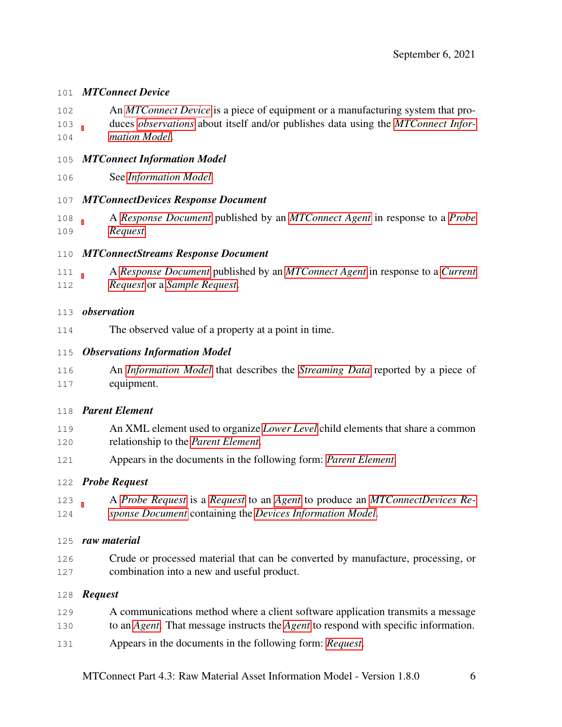#### <span id="page-9-6"></span>*MTConnect Device*

- An *[MTConnect Device](#page-9-6)* is a piece of equipment or a manufacturing system that pro-duces *[observations](#page-9-5)* about itself and/or publishes data using the *[MTConnect Infor-](#page-9-7)*
- *[mation Model](#page-9-7)*.
- <span id="page-9-7"></span>*MTConnect Information Model*
- See *[Information Model](#page-8-1)*

#### <span id="page-9-9"></span>*MTConnectDevices Response Document*

 A *[Response Document](#page-10-0)* published by an *[MTConnect Agent](#page-8-4)* in response to a *[Probe](#page-9-8) [Request](#page-9-8)*.

#### <span id="page-9-3"></span>*MTConnectStreams Response Document*

 A *[Response Document](#page-10-0)* published by an *[MTConnect Agent](#page-8-4)* in response to a *[Current](#page-7-2) [Request](#page-7-2)* or a *[Sample Request](#page-10-4)*.

#### <span id="page-9-5"></span>*observation*

The observed value of a property at a point in time.

#### <span id="page-9-4"></span>*Observations Information Model*

 An *[Information Model](#page-8-1)* that describes the *[Streaming Data](#page-10-5)* reported by a piece of equipment.

#### <span id="page-9-1"></span>*Parent Element*

- An XML element used to organize *[Lower Level](#page-8-2)* child elements that share a common relationship to the *[Parent Element](#page-9-1)*.
- Appears in the documents in the following form: *[Parent Element](#page-9-1)*.

#### <span id="page-9-8"></span>*Probe Request*

 A *[Probe Request](#page-9-8)* is a *[Request](#page-9-2)* to an *[Agent](#page-6-1)* to produce an *[MTConnectDevices Re-](#page-9-9)[sponse Document](#page-9-9)* containing the *[Devices Information Model](#page-7-3)*.

#### <span id="page-9-0"></span>*raw material*

 Crude or processed material that can be converted by manufacture, processing, or combination into a new and useful product.

#### <span id="page-9-2"></span>*Request*

- A communications method where a client software application transmits a message
- to an *[Agent](#page-6-1)*. That message instructs the *[Agent](#page-6-1)* to respond with specific information.
- Appears in the documents in the following form: *[Request](#page-9-2)*.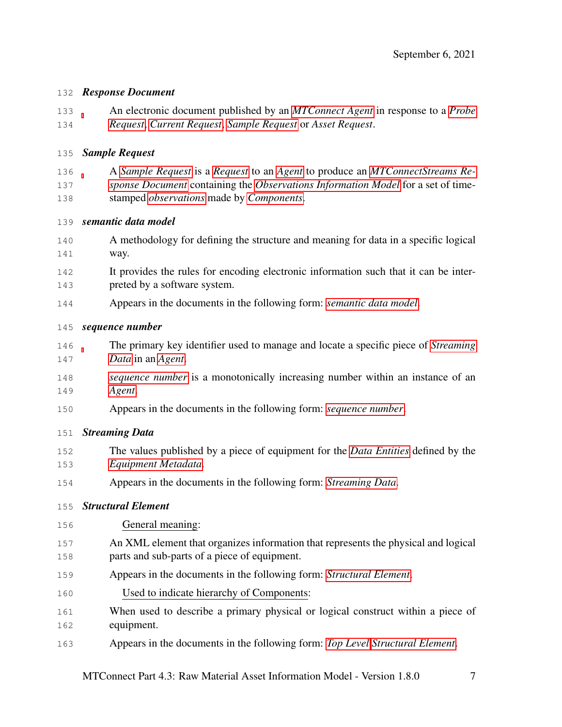#### <span id="page-10-0"></span>*Response Document*

 An electronic document published by an *[MTConnect Agent](#page-8-4)* in response to a *[Probe](#page-9-8) [Request](#page-9-8)*, *[Current Request](#page-7-2)*, *[Sample Request](#page-10-4)* or *Asset Request*.

#### <span id="page-10-4"></span>*Sample Request*

 A *[Sample Request](#page-10-4)* is a *[Request](#page-9-2)* to an *[Agent](#page-6-1)* to produce an *[MTConnectStreams Re-](#page-9-3) [sponse Document](#page-9-3)* containing the *[Observations Information Model](#page-9-4)* for a set of time-stamped *[observations](#page-9-5)* made by *[Components](#page-7-0)*.

- <span id="page-10-1"></span>*semantic data model*
- A methodology for defining the structure and meaning for data in a specific logical way.
- It provides the rules for encoding electronic information such that it can be inter-preted by a software system.
- Appears in the documents in the following form: *[semantic data model](#page-10-1)*.

#### <span id="page-10-3"></span>*sequence number*

- The primary key identifier used to manage and locate a specific piece of *[Streaming](#page-10-5) [Data](#page-10-5)* in an *[Agent](#page-6-1)*.
- *[sequence number](#page-10-3)* is a monotonically increasing number within an instance of an *[Agent](#page-6-1)*.
- Appears in the documents in the following form: *[sequence number](#page-10-3)*.

#### <span id="page-10-5"></span>*Streaming Data*

- The values published by a piece of equipment for the *[Data Entities](#page-7-1)* defined by the *[Equipment Metadata](#page-7-4)*.
- Appears in the documents in the following form: *[Streaming Data](#page-10-5)*.

#### <span id="page-10-2"></span>*Structural Element*

- General meaning:
- An XML element that organizes information that represents the physical and logical parts and sub-parts of a piece of equipment.
- Appears in the documents in the following form: *[Structural Element](#page-10-2)*.
- Used to indicate hierarchy of Components:
- When used to describe a primary physical or logical construct within a piece of equipment.
- Appears in the documents in the following form: *[Top Level](#page-11-4) [Structural Element](#page-10-2)*.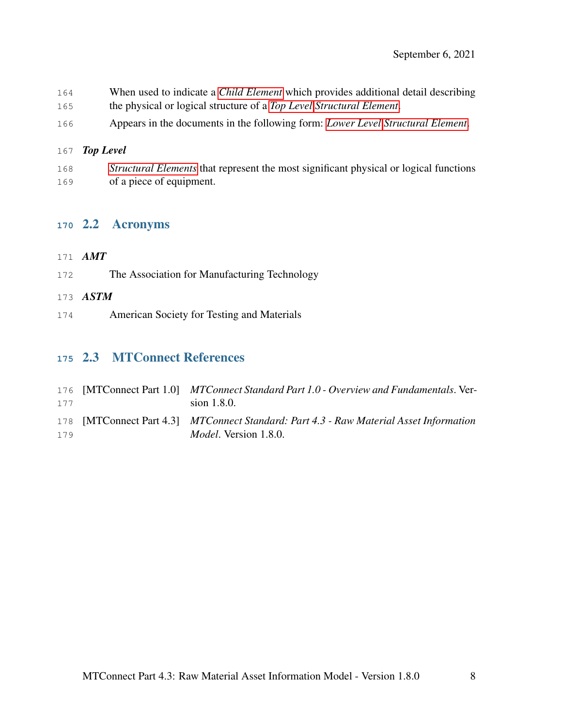- When used to indicate a *[Child Element](#page-6-2)* which provides additional detail describing
- the physical or logical structure of a *[Top Level](#page-11-4) [Structural Element](#page-10-2)*.
- Appears in the documents in the following form: *[Lower Level](#page-8-2) [Structural Element](#page-10-2)*.

#### <span id="page-11-4"></span>*Top Level*

 *[Structural Elements](#page-10-2)* that represent the most significant physical or logical functions of a piece of equipment.

#### <span id="page-11-1"></span>2.2 Acronyms

#### <span id="page-11-0"></span>*AMT*

- The Association for Manufacturing Technology
- <span id="page-11-5"></span>*ASTM*
- American Society for Testing and Materials

### <span id="page-11-2"></span>2.3 MTConnect References

<span id="page-11-3"></span>

| 177 | 176 [MTConnect Part 1.0] MTConnect Standard Part 1.0 - Overview and Fundamentals. Ver-<br>sion $1.8.0$ .                |
|-----|-------------------------------------------------------------------------------------------------------------------------|
| 179 | 178 [MTConnect Part 4.3] MTConnect Standard: Part 4.3 - Raw Material Asset Information<br><i>Model</i> . Version 1.8.0. |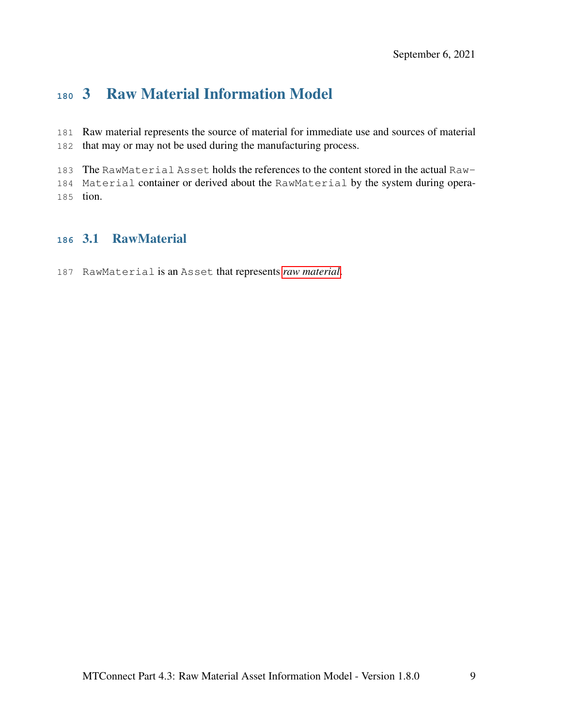## 3 Raw Material Information Model

 Raw material represents the source of material for immediate use and sources of material that may or may not be used during the manufacturing process.

The RawMaterial Asset holds the references to the content stored in the actual Raw-

<span id="page-12-0"></span> Material container or derived about the RawMaterial by the system during opera-tion.

#### 3.1 RawMaterial

RawMaterial is an Asset that represents *[raw material](#page-9-0)*.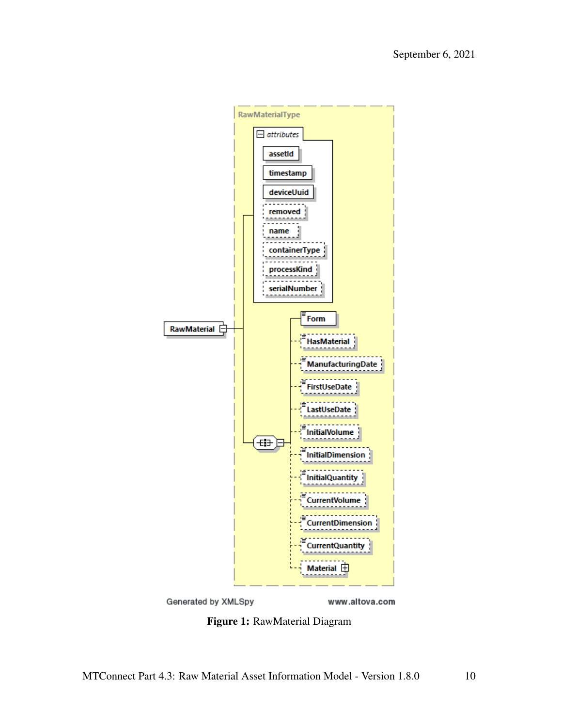<span id="page-13-0"></span>



www.altova.com

Figure 1: RawMaterial Diagram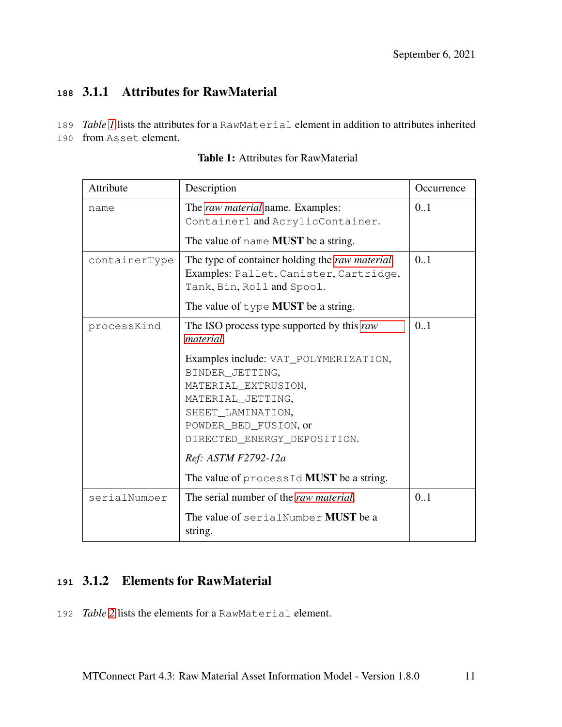#### <span id="page-14-0"></span>**<sup>188</sup>** 3.1.1 Attributes for RawMaterial

- 189 *Table [1](#page-14-2)* lists the attributes for a RawMaterial element in addition to attributes inherited
- <span id="page-14-2"></span>190 from Asset element.

| Attribute     | Description                                                                                                                                                                       | Occurrence |
|---------------|-----------------------------------------------------------------------------------------------------------------------------------------------------------------------------------|------------|
| name          | The <i>raw material</i> name. Examples:<br>Container1 and AcrylicContainer.                                                                                                       | 0.1        |
|               | The value of name <b>MUST</b> be a string.                                                                                                                                        |            |
| containerType | The type of container holding the raw material.<br>Examples: Pallet, Canister, Cartridge,<br>Tank, Bin, Roll and Spool.<br>The value of $type$ MUST be a string.                  | 0.1        |
| processKind   | The ISO process type supported by this raw<br><i>material.</i>                                                                                                                    | 0.1        |
|               | Examples include: VAT_POLYMERIZATION,<br>BINDER_JETTING,<br>MATERIAL_EXTRUSION,<br>MATERIAL_JETTING,<br>SHEET_LAMINATION,<br>POWDER_BED_FUSION, or<br>DIRECTED_ENERGY_DEPOSITION. |            |
|               | Ref: ASTM F2792-12a                                                                                                                                                               |            |
|               | The value of processId MUST be a string.                                                                                                                                          |            |
| serialNumber  | The serial number of the raw material.                                                                                                                                            | 0.1        |
|               | The value of serialNumber MUST be a<br>string.                                                                                                                                    |            |

#### Table 1: Attributes for RawMaterial

#### <span id="page-14-1"></span>**<sup>191</sup>** 3.1.2 Elements for RawMaterial

<span id="page-14-3"></span>192 *Table* [2](#page-14-3) lists the elements for a RawMaterial element.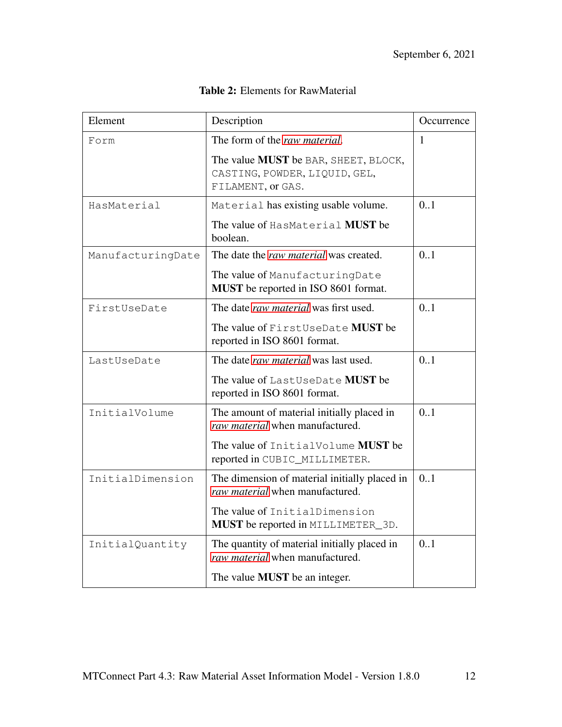| Element           | Description                                                                                | Occurrence   |
|-------------------|--------------------------------------------------------------------------------------------|--------------|
| Form              | The form of the raw material.                                                              | $\mathbf{1}$ |
|                   | The value MUST be BAR, SHEET, BLOCK,<br>CASTING, POWDER, LIQUID, GEL,<br>FILAMENT, or GAS. |              |
| HasMaterial       | Material has existing usable volume.                                                       | 0.1          |
|                   | The value of HasMaterial MUST be<br>boolean.                                               |              |
| ManufacturingDate | The date the raw material was created.                                                     | 0.1          |
|                   | The value of ManufacturingDate<br><b>MUST</b> be reported in ISO 8601 format.              |              |
| FirstUseDate      | The date raw material was first used.                                                      | 0.1          |
|                   | The value of FirstUseDate MUST be<br>reported in ISO 8601 format.                          |              |
| LastUseDate       | The date raw material was last used.                                                       | 0.1          |
|                   | The value of LastUseDate MUST be<br>reported in ISO 8601 format.                           |              |
| InitialVolume     | The amount of material initially placed in<br>raw material when manufactured.              | 0.1          |
|                   | The value of InitialVolume MUST be<br>reported in CUBIC_MILLIMETER.                        |              |
| InitialDimension  | The dimension of material initially placed in<br>raw material when manufactured.           | 0.1          |
|                   | The value of InitialDimension<br><b>MUST</b> be reported in MILLIMETER_3D.                 |              |
| InitialQuantity   | The quantity of material initially placed in<br>raw material when manufactured.            | 0.1          |
|                   | The value <b>MUST</b> be an integer.                                                       |              |

#### Table 2: Elements for RawMaterial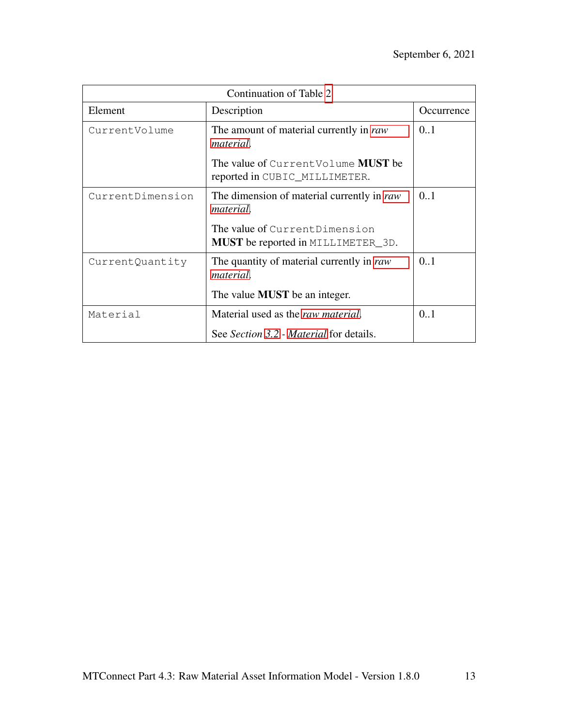| Continuation of Table 2 |                                                                                          |            |  |  |  |  |  |
|-------------------------|------------------------------------------------------------------------------------------|------------|--|--|--|--|--|
| Element                 | Description                                                                              | Occurrence |  |  |  |  |  |
| CurrentVolume           | The amount of material currently in raw<br><i>material.</i>                              | 0.1        |  |  |  |  |  |
|                         | The value of <code>CurrentVolume</code> ${\rm MUST}$ be<br>reported in CUBIC_MILLIMETER. |            |  |  |  |  |  |
| CurrentDimension        | The dimension of material currently in raw<br><i>material</i> .                          | 0.1        |  |  |  |  |  |
|                         | The value of Current Dimension<br><b>MUST</b> be reported in MILLIMETER_3D.              |            |  |  |  |  |  |
| CurrentQuantity         | The quantity of material currently in raw<br>material.                                   | 0.1        |  |  |  |  |  |
|                         | The value <b>MUST</b> be an integer.                                                     |            |  |  |  |  |  |
| Material                | Material used as the <i>raw material</i> .                                               | 0.1        |  |  |  |  |  |
|                         | See Section 3.2 - Material for details.                                                  |            |  |  |  |  |  |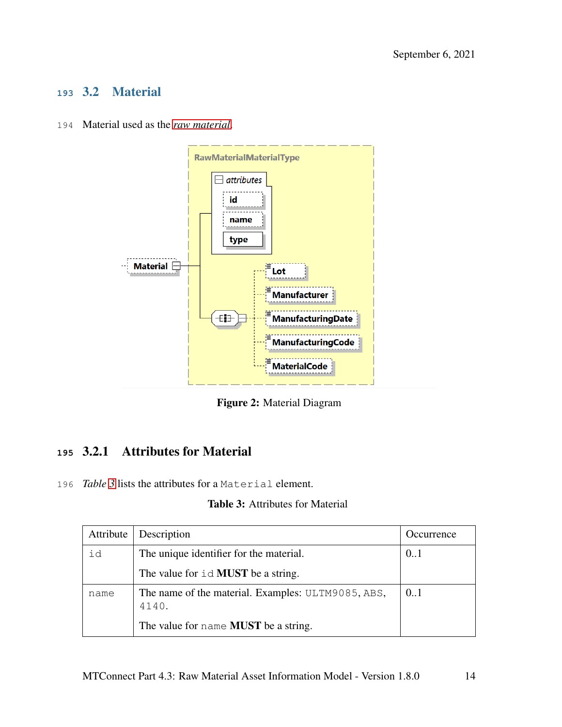#### <span id="page-17-0"></span>**<sup>193</sup>** 3.2 Material

194 Material used as the *[raw material](#page-9-0)*.

<span id="page-17-2"></span>

Figure 2: Material Diagram

#### <span id="page-17-1"></span>**<sup>195</sup>** 3.2.1 Attributes for Material

<span id="page-17-3"></span>196 *Table [3](#page-17-3)* lists the attributes for a Material element.

#### Table 3: Attributes for Material

| Attribute | Description                                                 | Occurrence |
|-----------|-------------------------------------------------------------|------------|
| id        | The unique identifier for the material.                     | 0.1        |
|           | The value for $id$ <b>MUST</b> be a string.                 |            |
| name      | The name of the material. Examples: ULTM9085, ABS,<br>4140. | 0.1        |
|           | The value for name <b>MUST</b> be a string.                 |            |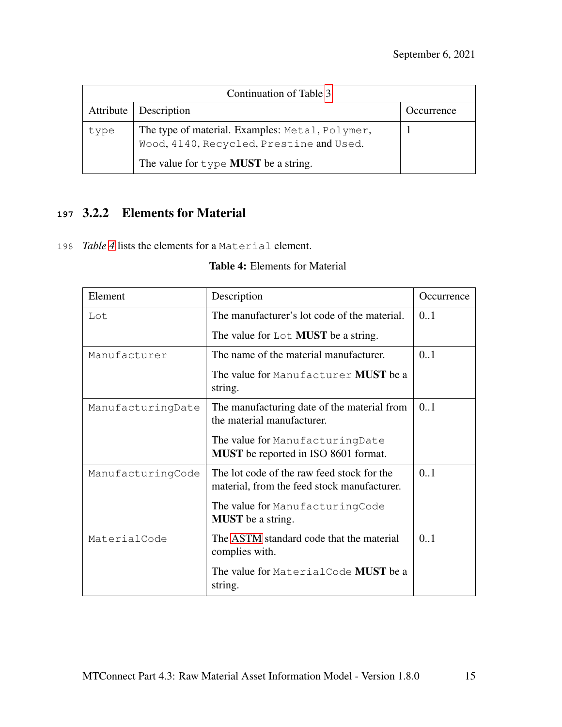|           | Continuation of Table 3                                                                     |            |  |  |  |  |  |
|-----------|---------------------------------------------------------------------------------------------|------------|--|--|--|--|--|
| Attribute | Description                                                                                 | Occurrence |  |  |  |  |  |
| type      | The type of material. Examples: Metal, Polymer,<br>Wood, 4140, Recycled, Prestine and Used. |            |  |  |  |  |  |
|           | The value for $type$ MUST be a string.                                                      |            |  |  |  |  |  |

#### <span id="page-18-0"></span>**<sup>197</sup>** 3.2.2 Elements for Material

<span id="page-18-1"></span>198 *Table [4](#page-18-1)* lists the elements for a Material element.

| Element           | Description                                                                               | Occurrence |
|-------------------|-------------------------------------------------------------------------------------------|------------|
| Lot               | The manufacturer's lot code of the material.                                              | 0.1        |
|                   | The value for $\text{Lot}$ MUST be a string.                                              |            |
| Manufacturer      | The name of the material manufacturer.                                                    | 0.1        |
|                   | The value for Manufacturer <b>MUST</b> be a<br>string.                                    |            |
| ManufacturingDate | The manufacturing date of the material from<br>the material manufacturer.                 | 0.1        |
|                   | The value for ManufacturingDate<br><b>MUST</b> be reported in ISO 8601 format.            |            |
| ManufacturingCode | The lot code of the raw feed stock for the<br>material, from the feed stock manufacturer. | 0.1        |
|                   | The value for ManufacturingCode<br><b>MUST</b> be a string.                               |            |
| MaterialCode      | The ASTM standard code that the material<br>complies with.                                | 0.1        |
|                   | The value for MaterialCode MUST be a<br>string.                                           |            |

#### Table 4: Elements for Material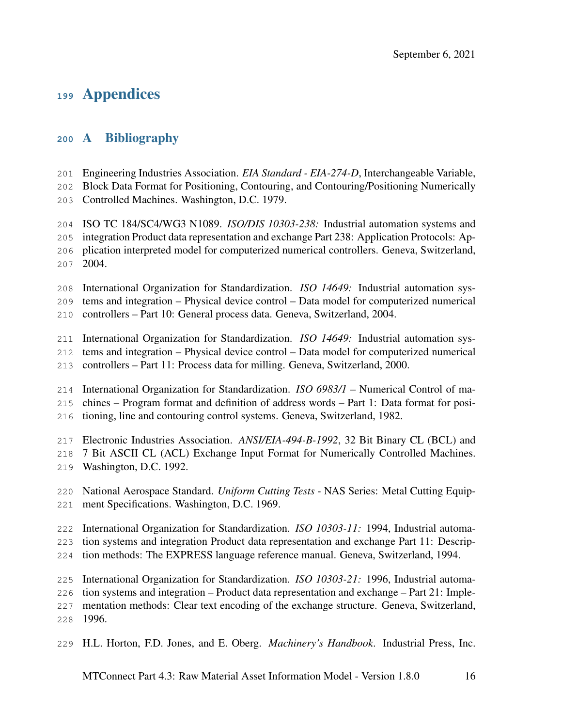## Appendices

#### <span id="page-19-0"></span>A Bibliography

Engineering Industries Association. *EIA Standard - EIA-274-D*, Interchangeable Variable,

Block Data Format for Positioning, Contouring, and Contouring/Positioning Numerically

Controlled Machines. Washington, D.C. 1979.

 ISO TC 184/SC4/WG3 N1089. *ISO/DIS 10303-238:* Industrial automation systems and integration Product data representation and exchange Part 238: Application Protocols: Ap- plication interpreted model for computerized numerical controllers. Geneva, Switzerland, 2004.

- International Organization for Standardization. *ISO 14649:* Industrial automation sys-tems and integration – Physical device control – Data model for computerized numerical
- controllers Part 10: General process data. Geneva, Switzerland, 2004.

International Organization for Standardization. *ISO 14649:* Industrial automation sys-

- tems and integration Physical device control Data model for computerized numerical
- controllers Part 11: Process data for milling. Geneva, Switzerland, 2000.
- International Organization for Standardization. *ISO 6983/1* Numerical Control of ma-

chines – Program format and definition of address words – Part 1: Data format for posi-

tioning, line and contouring control systems. Geneva, Switzerland, 1982.

Electronic Industries Association. *ANSI/EIA-494-B-1992*, 32 Bit Binary CL (BCL) and

- 7 Bit ASCII CL (ACL) Exchange Input Format for Numerically Controlled Machines.
- Washington, D.C. 1992.
- National Aerospace Standard. *Uniform Cutting Tests* NAS Series: Metal Cutting Equip-ment Specifications. Washington, D.C. 1969.
- International Organization for Standardization. *ISO 10303-11:* 1994, Industrial automa-
- tion systems and integration Product data representation and exchange Part 11: Descrip-
- tion methods: The EXPRESS language reference manual. Geneva, Switzerland, 1994.
- International Organization for Standardization. *ISO 10303-21:* 1996, Industrial automa-
- tion systems and integration Product data representation and exchange Part 21: Imple-
- mentation methods: Clear text encoding of the exchange structure. Geneva, Switzerland,
- 1996.
- H.L. Horton, F.D. Jones, and E. Oberg. *Machinery's Handbook*. Industrial Press, Inc.

MTConnect Part 4.3: Raw Material Asset Information Model - Version 1.8.0 16